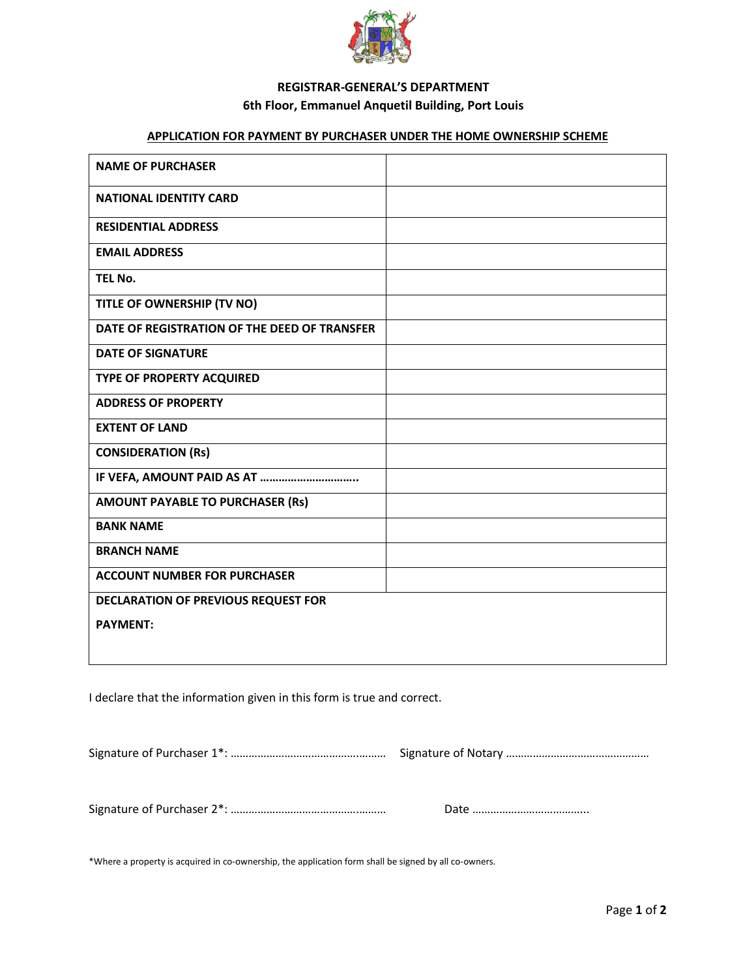

### **REGISTRAR-GENERAL'S DEPARTMENT 6th Floor, Emmanuel Anquetil Building, Port Louis**

#### **APPLICATION FOR PAYMENT BY PURCHASER UNDER THE HOME OWNERSHIP SCHEME**

| <b>NAME OF PURCHASER</b>                     |  |  |  |
|----------------------------------------------|--|--|--|
| <b>NATIONAL IDENTITY CARD</b>                |  |  |  |
| <b>RESIDENTIAL ADDRESS</b>                   |  |  |  |
| <b>EMAIL ADDRESS</b>                         |  |  |  |
| TEL No.                                      |  |  |  |
| TITLE OF OWNERSHIP (TV NO)                   |  |  |  |
| DATE OF REGISTRATION OF THE DEED OF TRANSFER |  |  |  |
| <b>DATE OF SIGNATURE</b>                     |  |  |  |
| TYPE OF PROPERTY ACQUIRED                    |  |  |  |
| <b>ADDRESS OF PROPERTY</b>                   |  |  |  |
| <b>EXTENT OF LAND</b>                        |  |  |  |
| <b>CONSIDERATION (Rs)</b>                    |  |  |  |
|                                              |  |  |  |
| <b>AMOUNT PAYABLE TO PURCHASER (Rs)</b>      |  |  |  |
| <b>BANK NAME</b>                             |  |  |  |
| <b>BRANCH NAME</b>                           |  |  |  |
| <b>ACCOUNT NUMBER FOR PURCHASER</b>          |  |  |  |
| <b>DECLARATION OF PREVIOUS REQUEST FOR</b>   |  |  |  |
| <b>PAYMENT:</b>                              |  |  |  |
|                                              |  |  |  |

I declare that the information given in this form is true and correct.

Signature of Purchaser 1<sup>\*</sup>: …………………………………………………… Signature of Notary …………………………………………

Signature of Purchaser 2<sup>\*</sup>: …………………………………………………… Date ………………………………………

\*Where a property is acquired in co-ownership, the application form shall be signed by all co-owners.